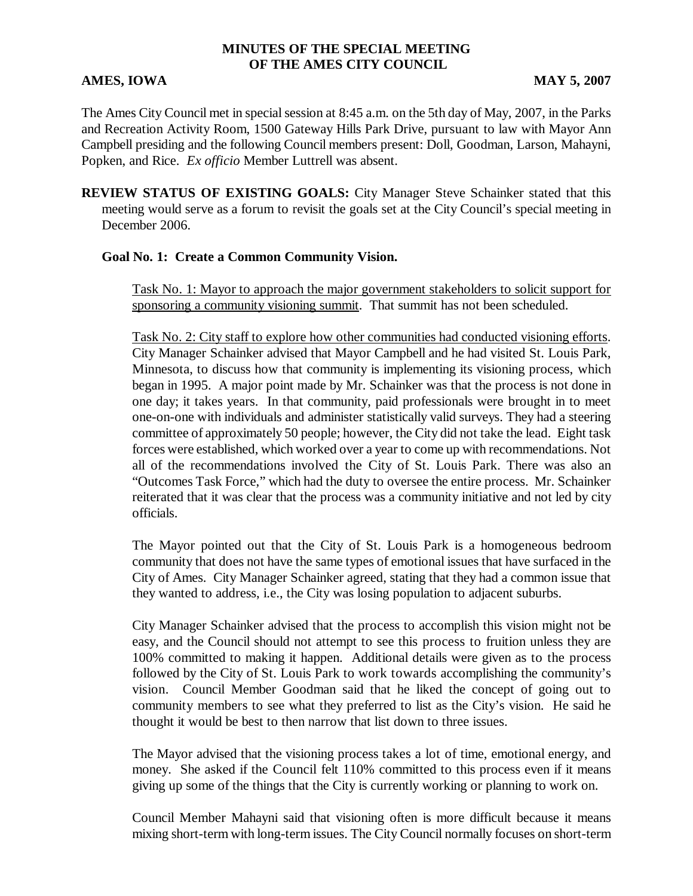## **MINUTES OF THE SPECIAL MEETING OF THE AMES CITY COUNCIL**

#### **AMES, IOWA** MAY 5, 2007

The Ames City Council met in special session at 8:45 a.m. on the 5th day of May, 2007, in the Parks and Recreation Activity Room, 1500 Gateway Hills Park Drive, pursuant to law with Mayor Ann Campbell presiding and the following Council members present: Doll, Goodman, Larson, Mahayni, Popken, and Rice. *Ex officio* Member Luttrell was absent.

**REVIEW STATUS OF EXISTING GOALS:** City Manager Steve Schainker stated that this meeting would serve as a forum to revisit the goals set at the City Council's special meeting in December 2006.

#### **Goal No. 1: Create a Common Community Vision.**

Task No. 1: Mayor to approach the major government stakeholders to solicit support for sponsoring a community visioning summit. That summit has not been scheduled.

Task No. 2: City staff to explore how other communities had conducted visioning efforts. City Manager Schainker advised that Mayor Campbell and he had visited St. Louis Park, Minnesota, to discuss how that community is implementing its visioning process, which began in 1995. A major point made by Mr. Schainker was that the process is not done in one day; it takes years. In that community, paid professionals were brought in to meet one-on-one with individuals and administer statistically valid surveys. They had a steering committee of approximately 50 people; however, the City did not take the lead. Eight task forces were established, which worked over a year to come up with recommendations. Not all of the recommendations involved the City of St. Louis Park. There was also an "Outcomes Task Force," which had the duty to oversee the entire process. Mr. Schainker reiterated that it was clear that the process was a community initiative and not led by city officials.

The Mayor pointed out that the City of St. Louis Park is a homogeneous bedroom community that does not have the same types of emotional issues that have surfaced in the City of Ames. City Manager Schainker agreed, stating that they had a common issue that they wanted to address, i.e., the City was losing population to adjacent suburbs.

City Manager Schainker advised that the process to accomplish this vision might not be easy, and the Council should not attempt to see this process to fruition unless they are 100% committed to making it happen. Additional details were given as to the process followed by the City of St. Louis Park to work towards accomplishing the community's vision. Council Member Goodman said that he liked the concept of going out to community members to see what they preferred to list as the City's vision. He said he thought it would be best to then narrow that list down to three issues.

The Mayor advised that the visioning process takes a lot of time, emotional energy, and money. She asked if the Council felt 110% committed to this process even if it means giving up some of the things that the City is currently working or planning to work on.

Council Member Mahayni said that visioning often is more difficult because it means mixing short-term with long-term issues. The City Council normally focuses on short-term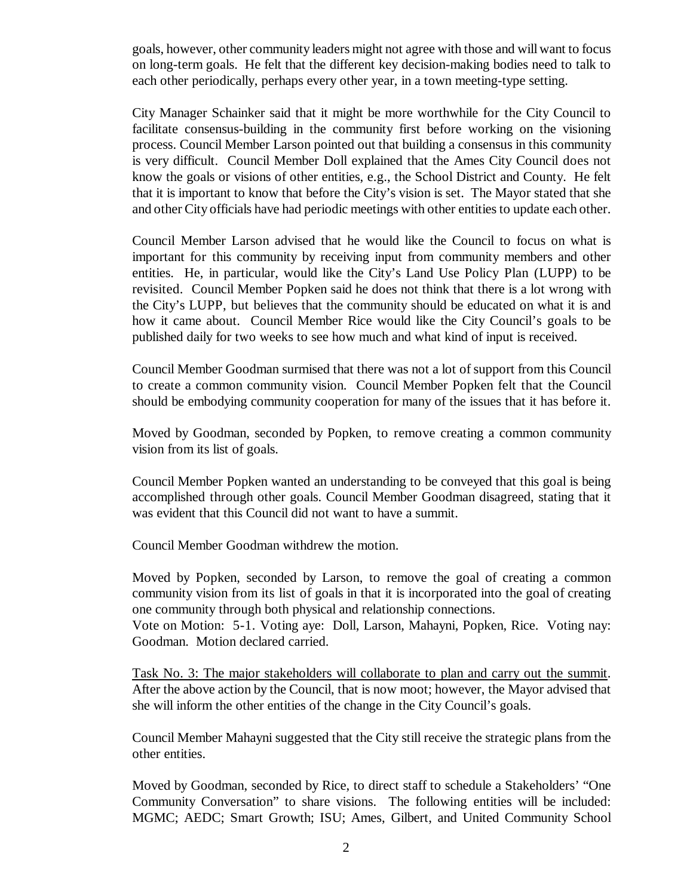goals, however, other community leaders might not agree with those and will want to focus on long-term goals. He felt that the different key decision-making bodies need to talk to each other periodically, perhaps every other year, in a town meeting-type setting.

City Manager Schainker said that it might be more worthwhile for the City Council to facilitate consensus-building in the community first before working on the visioning process. Council Member Larson pointed out that building a consensus in this community is very difficult. Council Member Doll explained that the Ames City Council does not know the goals or visions of other entities, e.g., the School District and County. He felt that it is important to know that before the City's vision is set. The Mayor stated that she and other City officials have had periodic meetings with other entities to update each other.

Council Member Larson advised that he would like the Council to focus on what is important for this community by receiving input from community members and other entities. He, in particular, would like the City's Land Use Policy Plan (LUPP) to be revisited. Council Member Popken said he does not think that there is a lot wrong with the City's LUPP, but believes that the community should be educated on what it is and how it came about. Council Member Rice would like the City Council's goals to be published daily for two weeks to see how much and what kind of input is received.

Council Member Goodman surmised that there was not a lot of support from this Council to create a common community vision. Council Member Popken felt that the Council should be embodying community cooperation for many of the issues that it has before it.

Moved by Goodman, seconded by Popken, to remove creating a common community vision from its list of goals.

Council Member Popken wanted an understanding to be conveyed that this goal is being accomplished through other goals. Council Member Goodman disagreed, stating that it was evident that this Council did not want to have a summit.

Council Member Goodman withdrew the motion.

Moved by Popken, seconded by Larson, to remove the goal of creating a common community vision from its list of goals in that it is incorporated into the goal of creating one community through both physical and relationship connections.

Vote on Motion: 5-1. Voting aye: Doll, Larson, Mahayni, Popken, Rice. Voting nay: Goodman. Motion declared carried.

Task No. 3: The major stakeholders will collaborate to plan and carry out the summit. After the above action by the Council, that is now moot; however, the Mayor advised that she will inform the other entities of the change in the City Council's goals.

Council Member Mahayni suggested that the City still receive the strategic plans from the other entities.

Moved by Goodman, seconded by Rice, to direct staff to schedule a Stakeholders' "One Community Conversation" to share visions. The following entities will be included: MGMC; AEDC; Smart Growth; ISU; Ames, Gilbert, and United Community School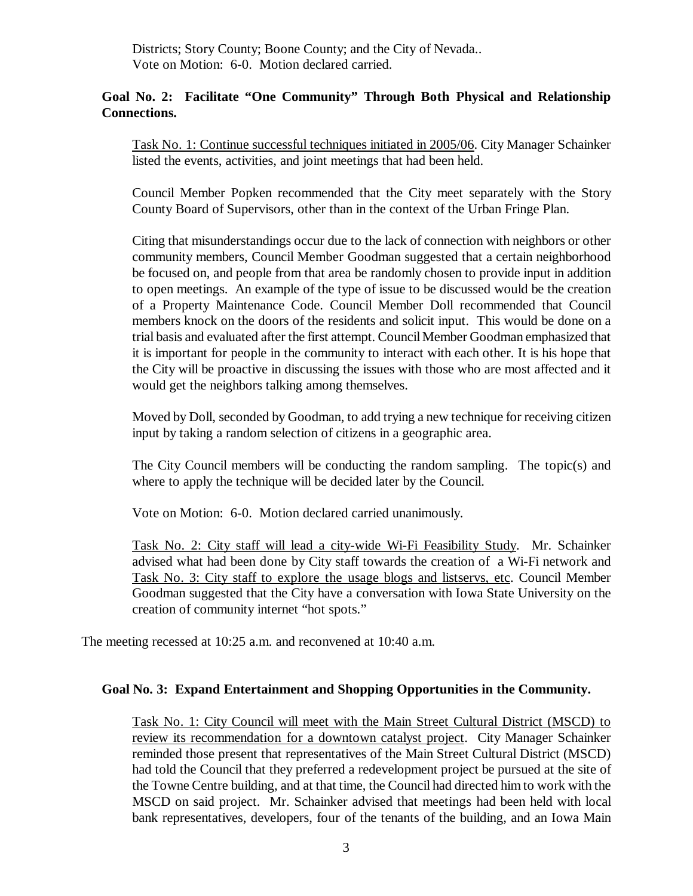Districts; Story County; Boone County; and the City of Nevada.. Vote on Motion: 6-0. Motion declared carried.

## **Goal No. 2: Facilitate "One Community" Through Both Physical and Relationship Connections.**

Task No. 1: Continue successful techniques initiated in 2005/06. City Manager Schainker listed the events, activities, and joint meetings that had been held.

Council Member Popken recommended that the City meet separately with the Story County Board of Supervisors, other than in the context of the Urban Fringe Plan.

Citing that misunderstandings occur due to the lack of connection with neighbors or other community members, Council Member Goodman suggested that a certain neighborhood be focused on, and people from that area be randomly chosen to provide input in addition to open meetings. An example of the type of issue to be discussed would be the creation of a Property Maintenance Code. Council Member Doll recommended that Council members knock on the doors of the residents and solicit input. This would be done on a trial basis and evaluated after the first attempt. Council Member Goodman emphasized that it is important for people in the community to interact with each other. It is his hope that the City will be proactive in discussing the issues with those who are most affected and it would get the neighbors talking among themselves.

Moved by Doll, seconded by Goodman, to add trying a new technique for receiving citizen input by taking a random selection of citizens in a geographic area.

The City Council members will be conducting the random sampling. The topic(s) and where to apply the technique will be decided later by the Council.

Vote on Motion: 6-0. Motion declared carried unanimously.

Task No. 2: City staff will lead a city-wide Wi-Fi Feasibility Study. Mr. Schainker advised what had been done by City staff towards the creation of a Wi-Fi network and Task No. 3: City staff to explore the usage blogs and listservs, etc. Council Member Goodman suggested that the City have a conversation with Iowa State University on the creation of community internet "hot spots."

The meeting recessed at 10:25 a.m. and reconvened at 10:40 a.m.

#### **Goal No. 3: Expand Entertainment and Shopping Opportunities in the Community.**

Task No. 1: City Council will meet with the Main Street Cultural District (MSCD) to review its recommendation for a downtown catalyst project. City Manager Schainker reminded those present that representatives of the Main Street Cultural District (MSCD) had told the Council that they preferred a redevelopment project be pursued at the site of the Towne Centre building, and at that time, the Council had directed him to work with the MSCD on said project. Mr. Schainker advised that meetings had been held with local bank representatives, developers, four of the tenants of the building, and an Iowa Main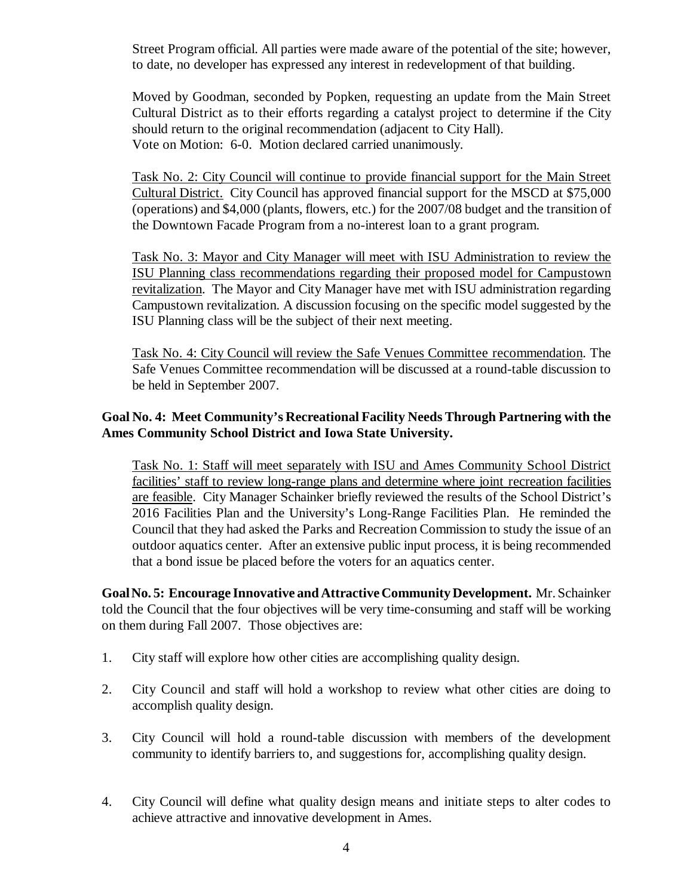Street Program official. All parties were made aware of the potential of the site; however, to date, no developer has expressed any interest in redevelopment of that building.

Moved by Goodman, seconded by Popken, requesting an update from the Main Street Cultural District as to their efforts regarding a catalyst project to determine if the City should return to the original recommendation (adjacent to City Hall). Vote on Motion: 6-0. Motion declared carried unanimously.

Task No. 2: City Council will continue to provide financial support for the Main Street Cultural District. City Council has approved financial support for the MSCD at \$75,000 (operations) and \$4,000 (plants, flowers, etc.) for the 2007/08 budget and the transition of the Downtown Facade Program from a no-interest loan to a grant program.

Task No. 3: Mayor and City Manager will meet with ISU Administration to review the ISU Planning class recommendations regarding their proposed model for Campustown revitalization. The Mayor and City Manager have met with ISU administration regarding Campustown revitalization. A discussion focusing on the specific model suggested by the ISU Planning class will be the subject of their next meeting.

Task No. 4: City Council will review the Safe Venues Committee recommendation. The Safe Venues Committee recommendation will be discussed at a round-table discussion to be held in September 2007.

## **Goal No. 4: Meet Community's Recreational Facility Needs Through Partnering with the Ames Community School District and Iowa State University.**

Task No. 1: Staff will meet separately with ISU and Ames Community School District facilities' staff to review long-range plans and determine where joint recreation facilities are feasible. City Manager Schainker briefly reviewed the results of the School District's 2016 Facilities Plan and the University's Long-Range Facilities Plan. He reminded the Council that they had asked the Parks and Recreation Commission to study the issue of an outdoor aquatics center. After an extensive public input process, it is being recommended that a bond issue be placed before the voters for an aquatics center.

**Goal No. 5: Encourage Innovative and Attractive Community Development.** Mr. Schainker told the Council that the four objectives will be very time-consuming and staff will be working on them during Fall 2007. Those objectives are:

- 1. City staff will explore how other cities are accomplishing quality design.
- 2. City Council and staff will hold a workshop to review what other cities are doing to accomplish quality design.
- 3. City Council will hold a round-table discussion with members of the development community to identify barriers to, and suggestions for, accomplishing quality design.
- 4. City Council will define what quality design means and initiate steps to alter codes to achieve attractive and innovative development in Ames.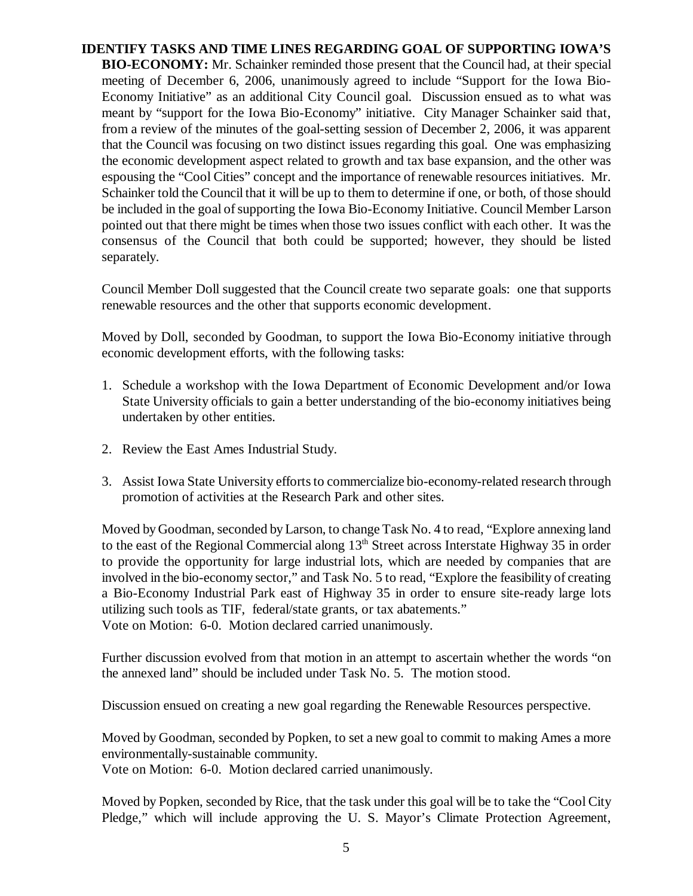# **IDENTIFY TASKS AND TIME LINES REGARDING GOAL OF SUPPORTING IOWA'S**

**BIO-ECONOMY:** Mr. Schainker reminded those present that the Council had, at their special meeting of December 6, 2006, unanimously agreed to include "Support for the Iowa Bio-Economy Initiative" as an additional City Council goal. Discussion ensued as to what was meant by "support for the Iowa Bio-Economy" initiative. City Manager Schainker said that, from a review of the minutes of the goal-setting session of December 2, 2006, it was apparent that the Council was focusing on two distinct issues regarding this goal. One was emphasizing the economic development aspect related to growth and tax base expansion, and the other was espousing the "Cool Cities" concept and the importance of renewable resources initiatives. Mr. Schainker told the Council that it will be up to them to determine if one, or both, of those should be included in the goal of supporting the Iowa Bio-Economy Initiative. Council Member Larson pointed out that there might be times when those two issues conflict with each other. It was the consensus of the Council that both could be supported; however, they should be listed separately.

Council Member Doll suggested that the Council create two separate goals: one that supports renewable resources and the other that supports economic development.

Moved by Doll, seconded by Goodman, to support the Iowa Bio-Economy initiative through economic development efforts, with the following tasks:

- 1. Schedule a workshop with the Iowa Department of Economic Development and/or Iowa State University officials to gain a better understanding of the bio-economy initiatives being undertaken by other entities.
- 2. Review the East Ames Industrial Study.
- 3. Assist Iowa State University efforts to commercialize bio-economy-related research through promotion of activities at the Research Park and other sites.

Moved by Goodman, seconded by Larson, to change Task No. 4 to read, "Explore annexing land to the east of the Regional Commercial along  $13<sup>th</sup>$  Street across Interstate Highway 35 in order to provide the opportunity for large industrial lots, which are needed by companies that are involved in the bio-economy sector," and Task No. 5 to read, "Explore the feasibility of creating a Bio-Economy Industrial Park east of Highway 35 in order to ensure site-ready large lots utilizing such tools as TIF, federal/state grants, or tax abatements." Vote on Motion: 6-0. Motion declared carried unanimously.

Further discussion evolved from that motion in an attempt to ascertain whether the words "on the annexed land" should be included under Task No. 5. The motion stood.

Discussion ensued on creating a new goal regarding the Renewable Resources perspective.

Moved by Goodman, seconded by Popken, to set a new goal to commit to making Ames a more environmentally-sustainable community.

Vote on Motion: 6-0. Motion declared carried unanimously.

Moved by Popken, seconded by Rice, that the task under this goal will be to take the "Cool City Pledge," which will include approving the U. S. Mayor's Climate Protection Agreement,